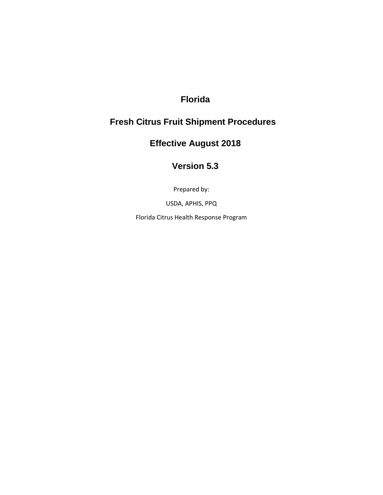## **Florida**

# **Fresh Citrus Fruit Shipment Procedures**

# **Effective August 2018**

## **Version 5.3**

Prepared by:

USDA, APHIS, PPQ

Florida Citrus Health Response Program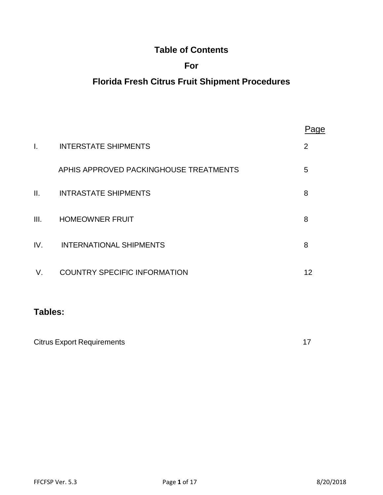## **Table of Contents**

## **For**

# **Florida Fresh Citrus Fruit Shipment Procedures**

|      |                                        | aae |
|------|----------------------------------------|-----|
| I.   | <b>INTERSTATE SHIPMENTS</b>            | 2   |
|      | APHIS APPROVED PACKINGHOUSE TREATMENTS | 5   |
| Ш.   | <b>INTRASTATE SHIPMENTS</b>            | 8   |
| III. | <b>HOMEOWNER FRUIT</b>                 | 8   |
| IV.  | <b>INTERNATIONAL SHIPMENTS</b>         | 8   |
| V.   | <b>COUNTRY SPECIFIC INFORMATION</b>    | 12  |
|      |                                        |     |

## **Tables:**

| <b>Citrus Export Requirements</b> |  |
|-----------------------------------|--|
|                                   |  |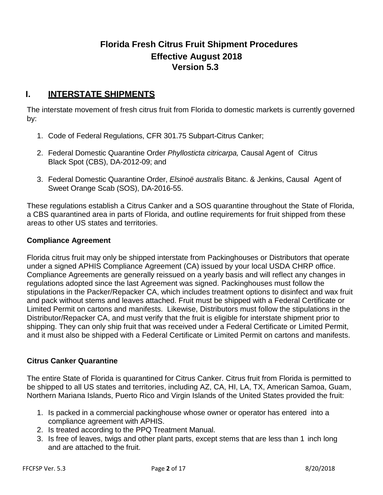## **Florida Fresh Citrus Fruit Shipment Procedures Effective August 2018 Version 5.3**

## **I. INTERSTATE SHIPMENTS**

The interstate movement of fresh citrus fruit from Florida to domestic markets is currently governed by:

- 1. Code of Federal Regulations, CFR 301.75 Subpart-Citrus Canker;
- 2. Federal Domestic Quarantine Order *Phyllosticta citricarpa,* Causal Agent of Citrus Black Spot (CBS), DA-2012-09; and
- 3. Federal Domestic Quarantine Order, *Elsinoë australis* Bitanc. & Jenkins, Causal Agent of Sweet Orange Scab (SOS), DA-2016-55.

These regulations establish a Citrus Canker and a SOS quarantine throughout the State of Florida, a CBS quarantined area in parts of Florida, and outline requirements for fruit shipped from these areas to other US states and territories.

#### **Compliance Agreement**

Florida citrus fruit may only be shipped interstate from Packinghouses or Distributors that operate under a signed APHIS Compliance Agreement (CA) issued by your local USDA CHRP office. Compliance Agreements are generally reissued on a yearly basis and will reflect any changes in regulations adopted since the last Agreement was signed. Packinghouses must follow the stipulations in the Packer/Repacker CA, which includes treatment options to disinfect and wax fruit and pack without stems and leaves attached. Fruit must be shipped with a Federal Certificate or Limited Permit on cartons and manifests. Likewise, Distributors must follow the stipulations in the Distributor/Repacker CA, and must verify that the fruit is eligible for interstate shipment prior to shipping. They can only ship fruit that was received under a Federal Certificate or Limited Permit, and it must also be shipped with a Federal Certificate or Limited Permit on cartons and manifests.

### **Citrus Canker Quarantine**

The entire State of Florida is quarantined for Citrus Canker. Citrus fruit from Florida is permitted to be shipped to all US states and territories, including AZ, CA, HI, LA, TX, American Samoa, Guam, Northern Mariana Islands, Puerto Rico and Virgin Islands of the United States provided the fruit:

- 1. Is packed in a commercial packinghouse whose owner or operator has entered into a compliance agreement with APHIS.
- 2. Is treated according to the PPQ Treatment Manual.
- 3. Is free of leaves, twigs and other plant parts, except stems that are less than 1 inch long and are attached to the fruit.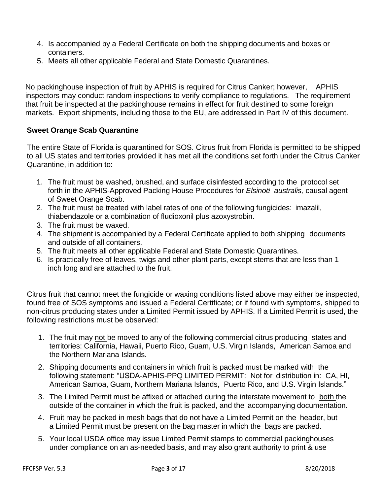- 4. Is accompanied by a Federal Certificate on both the shipping documents and boxes or containers.
- 5. Meets all other applicable Federal and State Domestic Quarantines.

No packinghouse inspection of fruit by APHIS is required for Citrus Canker; however, APHIS inspectors may conduct random inspections to verify compliance to regulations. The requirement that fruit be inspected at the packinghouse remains in effect for fruit destined to some foreign markets. Export shipments, including those to the EU, are addressed in Part IV of this document.

### **Sweet Orange Scab Quarantine**

The entire State of Florida is quarantined for SOS. Citrus fruit from Florida is permitted to be shipped to all US states and territories provided it has met all the conditions set forth under the Citrus Canker Quarantine, in addition to:

- 1. The fruit must be washed, brushed, and surface disinfested according to the protocol set forth in the APHIS-Approved Packing House Procedures for *Elsinoë australis,* causal agent of Sweet Orange Scab.
- 2. The fruit must be treated with label rates of one of the following fungicides: imazalil, thiabendazole or a combination of fludioxonil plus azoxystrobin.
- 3. The fruit must be waxed.
- 4. The shipment is accompanied by a Federal Certificate applied to both shipping documents and outside of all containers.
- 5. The fruit meets all other applicable Federal and State Domestic Quarantines.
- 6. Is practically free of leaves, twigs and other plant parts, except stems that are less than 1 inch long and are attached to the fruit.

Citrus fruit that cannot meet the fungicide or waxing conditions listed above may either be inspected, found free of SOS symptoms and issued a Federal Certificate; or if found with symptoms, shipped to non-citrus producing states under a Limited Permit issued by APHIS. If a Limited Permit is used, the following restrictions must be observed:

- 1. The fruit may not be moved to any of the following commercial citrus producing states and territories: California, Hawaii, Puerto Rico, Guam, U.S. Virgin Islands, American Samoa and the Northern Mariana Islands.
- 2. Shipping documents and containers in which fruit is packed must be marked with the following statement: "USDA-APHIS-PPQ LIMITED PERMIT: Not for distribution in: CA, HI, American Samoa, Guam, Northern Mariana Islands, Puerto Rico, and U.S. Virgin Islands."
- 3. The Limited Permit must be affixed or attached during the interstate movement to both the outside of the container in which the fruit is packed, and the accompanying documentation.
- 4. Fruit may be packed in mesh bags that do not have a Limited Permit on the header, but a Limited Permit must be present on the bag master in which the bags are packed.
- 5. Your local USDA office may issue Limited Permit stamps to commercial packinghouses under compliance on an as-needed basis, and may also grant authority to print & use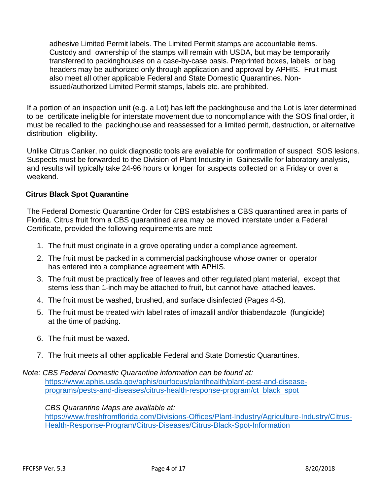adhesive Limited Permit labels. The Limited Permit stamps are accountable items. Custody and ownership of the stamps will remain with USDA, but may be temporarily transferred to packinghouses on a case-by-case basis. Preprinted boxes, labels or bag headers may be authorized only through application and approval by APHIS. Fruit must also meet all other applicable Federal and State Domestic Quarantines. Nonissued/authorized Limited Permit stamps, labels etc. are prohibited.

If a portion of an inspection unit (e.g. a Lot) has left the packinghouse and the Lot is later determined to be certificate ineligible for interstate movement due to noncompliance with the SOS final order, it must be recalled to the packinghouse and reassessed for a limited permit, destruction, or alternative distribution eligibility.

Unlike Citrus Canker, no quick diagnostic tools are available for confirmation of suspect SOS lesions. Suspects must be forwarded to the Division of Plant Industry in Gainesville for laboratory analysis, and results will typically take 24-96 hours or longer for suspects collected on a Friday or over a weekend.

## **Citrus Black Spot Quarantine**

The Federal Domestic Quarantine Order for CBS establishes a CBS quarantined area in parts of Florida. Citrus fruit from a CBS quarantined area may be moved interstate under a Federal Certificate, provided the following requirements are met:

- 1. The fruit must originate in a grove operating under a compliance agreement.
- 2. The fruit must be packed in a commercial packinghouse whose owner or operator has entered into a compliance agreement with APHIS.
- 3. The fruit must be practically free of leaves and other regulated plant material, except that stems less than 1-inch may be attached to fruit, but cannot have attached leaves.
- 4. The fruit must be washed, brushed, and surface disinfected (Pages 4-5).
- 5. The fruit must be treated with label rates of imazalil and/or thiabendazole (fungicide) at the time of packing.
- 6. The fruit must be waxed.
- 7. The fruit meets all other applicable Federal and State Domestic Quarantines.

*Note: CBS Federal Domestic Quarantine information can be found at:* [https://www.aphis.usda.gov/aphis/ourfocus/planthealth/plant-pest-and-disease](https://www.aphis.usda.gov/aphis/ourfocus/planthealth/plant-pest-and-disease-programs/pests-and-diseases/citrus-health-response-program/ct_black_spot)[programs/pests-and-diseases/citrus-health-response-program/ct\\_black\\_spot](https://www.aphis.usda.gov/aphis/ourfocus/planthealth/plant-pest-and-disease-programs/pests-and-diseases/citrus-health-response-program/ct_black_spot)

*CBS Quarantine Maps are available at:* [https://www.freshfromflorida.com/Divisions-Offices/Plant-Industry/Agriculture-Industry/Citrus-](https://www.freshfromflorida.com/Divisions-Offices/Plant-Industry/Agriculture-Industry/Citrus-Health-Response-Program/Citrus-Diseases/Citrus-Black-Spot-Information)[Health-Response-Program/Citrus-Diseases/Citrus-Black-Spot-Information](https://www.freshfromflorida.com/Divisions-Offices/Plant-Industry/Agriculture-Industry/Citrus-Health-Response-Program/Citrus-Diseases/Citrus-Black-Spot-Information)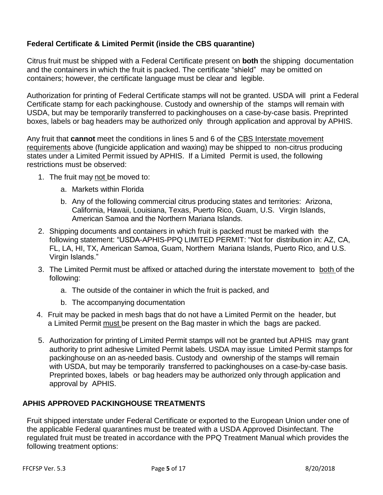## **Federal Certificate & Limited Permit (inside the CBS quarantine)**

Citrus fruit must be shipped with a Federal Certificate present on **both** the shipping documentation and the containers in which the fruit is packed. The certificate "shield" may be omitted on containers; however, the certificate language must be clear and legible.

Authorization for printing of Federal Certificate stamps will not be granted. USDA will print a Federal Certificate stamp for each packinghouse. Custody and ownership of the stamps will remain with USDA, but may be temporarily transferred to packinghouses on a case-by-case basis. Preprinted boxes, labels or bag headers may be authorized only through application and approval by APHIS.

Any fruit that **cannot** meet the conditions in lines 5 and 6 of the CBS Interstate movement requirements above (fungicide application and waxing) may be shipped to non-citrus producing states under a Limited Permit issued by APHIS. If a Limited Permit is used, the following restrictions must be observed:

- 1. The fruit may not be moved to:
	- a. Markets within Florida
	- b. Any of the following commercial citrus producing states and territories: Arizona, California, Hawaii, Louisiana, Texas, Puerto Rico, Guam, U.S. Virgin Islands, American Samoa and the Northern Mariana Islands.
- 2. Shipping documents and containers in which fruit is packed must be marked with the following statement: "USDA-APHIS-PPQ LIMITED PERMIT: "Not for distribution in: AZ, CA, FL, LA, HI, TX, American Samoa, Guam, Northern Mariana Islands, Puerto Rico, and U.S. Virgin Islands."
- 3. The Limited Permit must be affixed or attached during the interstate movement to both of the following:
	- a. The outside of the container in which the fruit is packed, and
	- b. The accompanying documentation
- 4. Fruit may be packed in mesh bags that do not have a Limited Permit on the header, but a Limited Permit must be present on the Bag master in which the bags are packed.
- 5. Authorization for printing of Limited Permit stamps will not be granted but APHIS may grant authority to print adhesive Limited Permit labels. USDA may issue Limited Permit stamps for packinghouse on an as-needed basis. Custody and ownership of the stamps will remain with USDA, but may be temporarily transferred to packinghouses on a case-by-case basis. Preprinted boxes, labels or bag headers may be authorized only through application and approval by APHIS.

## **APHIS APPROVED PACKINGHOUSE TREATMENTS**

Fruit shipped interstate under Federal Certificate or exported to the European Union under one of the applicable Federal quarantines must be treated with a USDA Approved Disinfectant. The regulated fruit must be treated in accordance with the PPQ Treatment Manual which provides the following treatment options: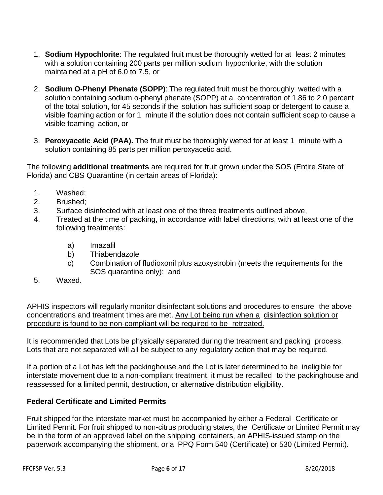- 1. **Sodium Hypochlorite**: The regulated fruit must be thoroughly wetted for at least 2 minutes with a solution containing 200 parts per million sodium hypochlorite, with the solution maintained at a pH of 6.0 to 7.5, or
- 2. **Sodium O-Phenyl Phenate (SOPP)**: The regulated fruit must be thoroughly wetted with a solution containing sodium o-phenyl phenate (SOPP) at a concentration of 1.86 to 2.0 percent of the total solution, for 45 seconds if the solution has sufficient soap or detergent to cause a visible foaming action or for 1 minute if the solution does not contain sufficient soap to cause a visible foaming action, or
- 3. **Peroxyacetic Acid (PAA).** The fruit must be thoroughly wetted for at least 1 minute with a solution containing 85 parts per million peroxyacetic acid.

The following **additional treatments** are required for fruit grown under the SOS (Entire State of Florida) and CBS Quarantine (in certain areas of Florida):

- 1. Washed;
- 2. Brushed;
- 3. Surface disinfected with at least one of the three treatments outlined above,
- 4. Treated at the time of packing, in accordance with label directions, with at least one of the following treatments:
	- a) Imazalil
	- b) Thiabendazole
	- c) Combination of fludioxonil plus azoxystrobin (meets the requirements for the SOS quarantine only); and
- 5. Waxed.

APHIS inspectors will regularly monitor disinfectant solutions and procedures to ensure the above concentrations and treatment times are met. Any Lot being run when a disinfection solution or procedure is found to be non-compliant will be required to be retreated.

It is recommended that Lots be physically separated during the treatment and packing process. Lots that are not separated will all be subject to any regulatory action that may be required.

If a portion of a Lot has left the packinghouse and the Lot is later determined to be ineligible for interstate movement due to a non-compliant treatment, it must be recalled to the packinghouse and reassessed for a limited permit, destruction, or alternative distribution eligibility.

### **Federal Certificate and Limited Permits**

Fruit shipped for the interstate market must be accompanied by either a Federal Certificate or Limited Permit. For fruit shipped to non-citrus producing states, the Certificate or Limited Permit may be in the form of an approved label on the shipping containers, an APHIS-issued stamp on the paperwork accompanying the shipment, or a PPQ Form 540 (Certificate) or 530 (Limited Permit).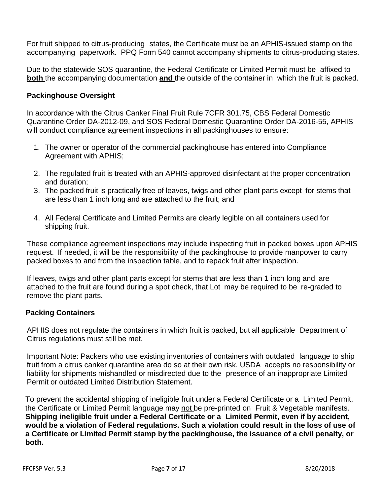For fruit shipped to citrus-producing states, the Certificate must be an APHIS-issued stamp on the accompanying paperwork. PPQ Form 540 cannot accompany shipments to citrus-producing states.

Due to the statewide SOS quarantine, the Federal Certificate or Limited Permit must be affixed to **both** the accompanying documentation **and** the outside of the container in which the fruit is packed.

### **Packinghouse Oversight**

In accordance with the Citrus Canker Final Fruit Rule 7CFR 301.75, CBS Federal Domestic Quarantine Order DA-2012-09, and SOS Federal Domestic Quarantine Order DA-2016-55, APHIS will conduct compliance agreement inspections in all packinghouses to ensure:

- 1. The owner or operator of the commercial packinghouse has entered into Compliance Agreement with APHIS;
- 2. The regulated fruit is treated with an APHIS-approved disinfectant at the proper concentration and duration;
- 3. The packed fruit is practically free of leaves, twigs and other plant parts except for stems that are less than 1 inch long and are attached to the fruit; and
- 4. All Federal Certificate and Limited Permits are clearly legible on all containers used for shipping fruit.

These compliance agreement inspections may include inspecting fruit in packed boxes upon APHIS request. If needed, it will be the responsibility of the packinghouse to provide manpower to carry packed boxes to and from the inspection table, and to repack fruit after inspection.

If leaves, twigs and other plant parts except for stems that are less than 1 inch long and are attached to the fruit are found during a spot check, that Lot may be required to be re-graded to remove the plant parts.

### **Packing Containers**

APHIS does not regulate the containers in which fruit is packed, but all applicable Department of Citrus regulations must still be met.

Important Note: Packers who use existing inventories of containers with outdated language to ship fruit from a citrus canker quarantine area do so at their own risk. USDA accepts no responsibility or liability for shipments mishandled or misdirected due to the presence of an inappropriate Limited Permit or outdated Limited Distribution Statement.

To prevent the accidental shipping of ineligible fruit under a Federal Certificate or a Limited Permit, the Certificate or Limited Permit language may not be pre-printed on Fruit & Vegetable manifests. **Shipping ineligible fruit under a Federal Certificate or a Limited Permit, even if by accident, would be a violation of Federal regulations. Such a violation could result in the loss of use of a Certificate or Limited Permit stamp by the packinghouse, the issuance of a civil penalty, or both.**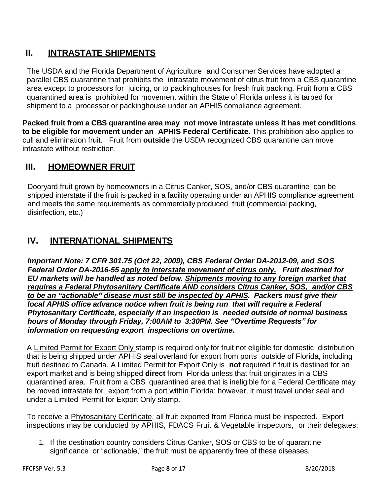## **II. INTRASTATE SHIPMENTS**

The USDA and the Florida Department of Agriculture and Consumer Services have adopted a parallel CBS quarantine that prohibits the intrastate movement of citrus fruit from a CBS quarantine area except to processors for juicing, or to packinghouses for fresh fruit packing. Fruit from a CBS quarantined area is prohibited for movement within the State of Florida unless it is tarped for shipment to a processor or packinghouse under an APHIS compliance agreement.

**Packed fruit from a CBS quarantine area may not move intrastate unless it has met conditions to be eligible for movement under an APHIS Federal Certificate**. This prohibition also applies to cull and elimination fruit. Fruit from **outside** the USDA recognized CBS quarantine can move intrastate without restriction.

## **III. HOMEOWNER FRUIT**

Dooryard fruit grown by homeowners in a Citrus Canker, SOS, and/or CBS quarantine can be shipped interstate if the fruit is packed in a facility operating under an APHIS compliance agreement and meets the same requirements as commercially produced fruit (commercial packing, disinfection, etc.)

## **IV. INTERNATIONAL SHIPMENTS**

*Important Note: 7 CFR 301.75 (Oct 22, 2009), CBS Federal Order DA-2012-09, and SOS Federal Order DA-2016-55 apply to interstate movement of citrus only. Fruit destined for EU markets will be handled as noted below. Shipments moving to any foreign market that requires a Federal Phytosanitary Certificate AND considers Citrus Canker, SOS, and/or CBS to be an "actionable" disease must still be inspected by APHIS. Packers must give their local APHIS office advance notice when fruit is being run that will require a Federal Phytosanitary Certificate, especially if an inspection is needed outside of normal business hours of Monday through Friday, 7:00AM to 3:30PM. See "Overtime Requests" for information on requesting export inspections on overtime.*

A Limited Permit for Export Only stamp is required only for fruit not eligible for domestic distribution that is being shipped under APHIS seal overland for export from ports outside of Florida, including fruit destined to Canada. A Limited Permit for Export Only is **not** required if fruit is destined for an export market and is being shipped **direct** from Florida unless that fruit originates in a CBS quarantined area. Fruit from a CBS quarantined area that is ineligible for a Federal Certificate may be moved intrastate for export from a port within Florida; however, it must travel under seal and under a Limited Permit for Export Only stamp.

To receive a Phytosanitary Certificate, all fruit exported from Florida must be inspected. Export inspections may be conducted by APHIS, FDACS Fruit & Vegetable inspectors, or their delegates:

1. If the destination country considers Citrus Canker, SOS or CBS to be of quarantine significance or "actionable," the fruit must be apparently free of these diseases.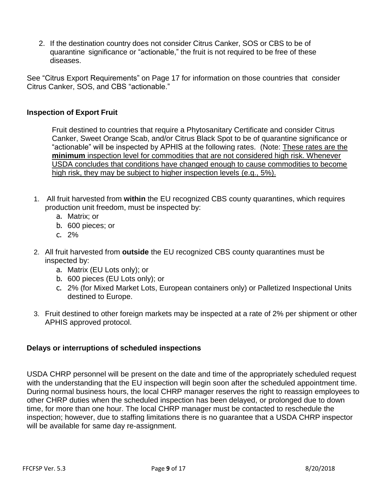2. If the destination country does not consider Citrus Canker, SOS or CBS to be of quarantine significance or "actionable," the fruit is not required to be free of these diseases.

See "Citrus Export Requirements" on Page 17 for information on those countries that consider Citrus Canker, SOS, and CBS "actionable."

### **Inspection of Export Fruit**

Fruit destined to countries that require a Phytosanitary Certificate and consider Citrus Canker, Sweet Orange Scab, and/or Citrus Black Spot to be of quarantine significance or "actionable" will be inspected by APHIS at the following rates. (Note: These rates are the **minimum** inspection level for commodities that are not considered high risk. Whenever USDA concludes that conditions have changed enough to cause commodities to become high risk, they may be subject to higher inspection levels (e.g., 5%).

- 1. All fruit harvested from **within** the EU recognized CBS county quarantines, which requires production unit freedom, must be inspected by:
	- a. Matrix; or
	- b. 600 pieces; or
	- c. 2%
- 2. All fruit harvested from **outside** the EU recognized CBS county quarantines must be inspected by:
	- a. Matrix (EU Lots only); or
	- b. 600 pieces (EU Lots only); or
	- c. 2% (for Mixed Market Lots, European containers only) or Palletized Inspectional Units destined to Europe.
- 3. Fruit destined to other foreign markets may be inspected at a rate of 2% per shipment or other APHIS approved protocol.

## **Delays or interruptions of scheduled inspections**

USDA CHRP personnel will be present on the date and time of the appropriately scheduled request with the understanding that the EU inspection will begin soon after the scheduled appointment time. During normal business hours, the local CHRP manager reserves the right to reassign employees to other CHRP duties when the scheduled inspection has been delayed, or prolonged due to down time, for more than one hour. The local CHRP manager must be contacted to reschedule the inspection; however, due to staffing limitations there is no guarantee that a USDA CHRP inspector will be available for same day re-assignment.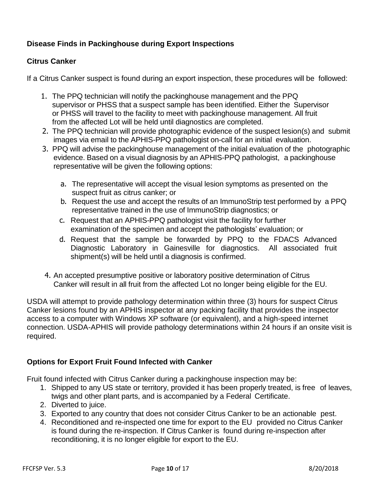## **Disease Finds in Packinghouse during Export Inspections**

## **Citrus Canker**

If a Citrus Canker suspect is found during an export inspection, these procedures will be followed:

- 1. The PPQ technician will notify the packinghouse management and the PPQ supervisor or PHSS that a suspect sample has been identified. Either the Supervisor or PHSS will travel to the facility to meet with packinghouse management. All fruit from the affected Lot will be held until diagnostics are completed.
- 2. The PPQ technician will provide photographic evidence of the suspect lesion(s) and submit images via email to the APHIS-PPQ pathologist on-call for an initial evaluation.
- 3. PPQ will advise the packinghouse management of the initial evaluation of the photographic evidence. Based on a visual diagnosis by an APHIS-PPQ pathologist, a packinghouse representative will be given the following options:
	- a. The representative will accept the visual lesion symptoms as presented on the suspect fruit as citrus canker; or
	- b. Request the use and accept the results of an ImmunoStrip test performed by a PPQ representative trained in the use of ImmunoStrip diagnostics; or
	- c. Request that an APHIS-PPQ pathologist visit the facility for further examination of the specimen and accept the pathologists' evaluation; or
	- d. Request that the sample be forwarded by PPQ to the FDACS Advanced Diagnostic Laboratory in Gainesville for diagnostics. All associated fruit shipment(s) will be held until a diagnosis is confirmed.
- 4. An accepted presumptive positive or laboratory positive determination of Citrus Canker will result in all fruit from the affected Lot no longer being eligible for the EU.

USDA will attempt to provide pathology determination within three (3) hours for suspect Citrus Canker lesions found by an APHIS inspector at any packing facility that provides the inspector access to a computer with Windows XP software (or equivalent), and a high-speed internet connection. USDA-APHIS will provide pathology determinations within 24 hours if an onsite visit is required.

## **Options for Export Fruit Found Infected with Canker**

Fruit found infected with Citrus Canker during a packinghouse inspection may be:

- 1. Shipped to any US state or territory, provided it has been properly treated, is free of leaves, twigs and other plant parts, and is accompanied by a Federal Certificate.
- 2. Diverted to juice.
- 3. Exported to any country that does not consider Citrus Canker to be an actionable pest.
- 4. Reconditioned and re-inspected one time for export to the EU provided no Citrus Canker is found during the re-inspection. If Citrus Canker is found during re-inspection after reconditioning, it is no longer eligible for export to the EU.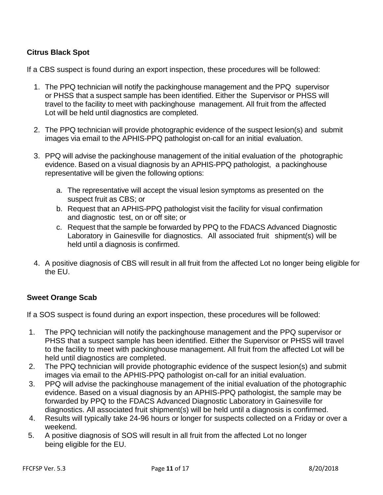## **Citrus Black Spot**

If a CBS suspect is found during an export inspection, these procedures will be followed:

- 1. The PPQ technician will notify the packinghouse management and the PPQ supervisor or PHSS that a suspect sample has been identified. Either the Supervisor or PHSS will travel to the facility to meet with packinghouse management. All fruit from the affected Lot will be held until diagnostics are completed.
- 2. The PPQ technician will provide photographic evidence of the suspect lesion(s) and submit images via email to the APHIS-PPQ pathologist on-call for an initial evaluation.
- 3. PPQ will advise the packinghouse management of the initial evaluation of the photographic evidence. Based on a visual diagnosis by an APHIS-PPQ pathologist, a packinghouse representative will be given the following options:
	- a. The representative will accept the visual lesion symptoms as presented on the suspect fruit as CBS; or
	- b. Request that an APHIS-PPQ pathologist visit the facility for visual confirmation and diagnostic test, on or off site; or
	- c. Request that the sample be forwarded by PPQ to the FDACS Advanced Diagnostic Laboratory in Gainesville for diagnostics. All associated fruit shipment(s) will be held until a diagnosis is confirmed.
- 4. A positive diagnosis of CBS will result in all fruit from the affected Lot no longer being eligible for the EU.

## **Sweet Orange Scab**

If a SOS suspect is found during an export inspection, these procedures will be followed:

- 1. The PPQ technician will notify the packinghouse management and the PPQ supervisor or PHSS that a suspect sample has been identified. Either the Supervisor or PHSS will travel to the facility to meet with packinghouse management. All fruit from the affected Lot will be held until diagnostics are completed.
- 2. The PPQ technician will provide photographic evidence of the suspect lesion(s) and submit images via email to the APHIS-PPQ pathologist on-call for an initial evaluation.
- 3. PPQ will advise the packinghouse management of the initial evaluation of the photographic evidence. Based on a visual diagnosis by an APHIS-PPQ pathologist, the sample may be forwarded by PPQ to the FDACS Advanced Diagnostic Laboratory in Gainesville for diagnostics. All associated fruit shipment(s) will be held until a diagnosis is confirmed.
- 4. Results will typically take 24-96 hours or longer for suspects collected on a Friday or over a weekend.
- 5. A positive diagnosis of SOS will result in all fruit from the affected Lot no longer being eligible for the EU.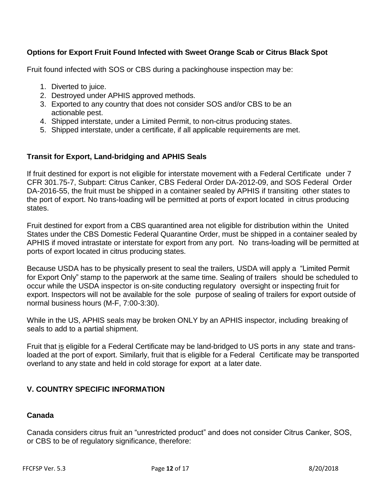## **Options for Export Fruit Found Infected with Sweet Orange Scab or Citrus Black Spot**

Fruit found infected with SOS or CBS during a packinghouse inspection may be:

- 1. Diverted to juice.
- 2. Destroyed under APHIS approved methods.
- 3. Exported to any country that does not consider SOS and/or CBS to be an actionable pest.
- 4. Shipped interstate, under a Limited Permit, to non-citrus producing states.
- 5. Shipped interstate, under a certificate, if all applicable requirements are met.

## **Transit for Export, Land-bridging and APHIS Seals**

If fruit destined for export is not eligible for interstate movement with a Federal Certificate under 7 CFR 301.75-7, Subpart: Citrus Canker, CBS Federal Order DA-2012-09, and SOS Federal Order DA-2016-55, the fruit must be shipped in a container sealed by APHIS if transiting other states to the port of export. No trans-loading will be permitted at ports of export located in citrus producing states.

Fruit destined for export from a CBS quarantined area not eligible for distribution within the United States under the CBS Domestic Federal Quarantine Order, must be shipped in a container sealed by APHIS if moved intrastate or interstate for export from any port. No trans-loading will be permitted at ports of export located in citrus producing states.

Because USDA has to be physically present to seal the trailers, USDA will apply a "Limited Permit for Export Only" stamp to the paperwork at the same time. Sealing of trailers should be scheduled to occur while the USDA inspector is on-site conducting regulatory oversight or inspecting fruit for export. Inspectors will not be available for the sole purpose of sealing of trailers for export outside of normal business hours (M-F, 7:00-3:30).

While in the US, APHIS seals may be broken ONLY by an APHIS inspector, including breaking of seals to add to a partial shipment.

Fruit that is eligible for a Federal Certificate may be land-bridged to US ports in any state and transloaded at the port of export. Similarly, fruit that is eligible for a Federal Certificate may be transported overland to any state and held in cold storage for export at a later date.

## **V. COUNTRY SPECIFIC INFORMATION**

### **Canada**

Canada considers citrus fruit an "unrestricted product" and does not consider Citrus Canker, SOS, or CBS to be of regulatory significance, therefore: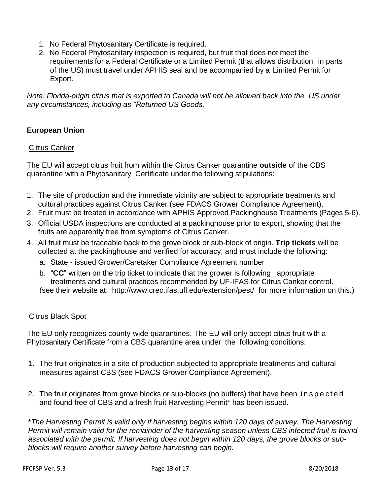- 1. No Federal Phytosanitary Certificate is required.
- 2. No Federal Phytosanitary inspection is required, but fruit that does not meet the requirements for a Federal Certificate or a Limited Permit (that allows distribution in parts of the US) must travel under APHIS seal and be accompanied by a Limited Permit for Export.

*Note: Florida-origin citrus that is exported to Canada will not be allowed back into the US under any circumstances, including as "Returned US Goods."*

## **European Union**

#### Citrus Canker

The EU will accept citrus fruit from within the Citrus Canker quarantine **outside** of the CBS quarantine with a Phytosanitary Certificate under the following stipulations:

- 1. The site of production and the immediate vicinity are subject to appropriate treatments and cultural practices against Citrus Canker (see FDACS Grower Compliance Agreement).
- 2. Fruit must be treated in accordance with APHIS Approved Packinghouse Treatments (Pages 5-6).
- 3. Official USDA inspections are conducted at a packinghouse prior to export, showing that the fruits are apparently free from symptoms of Citrus Canker.
- 4. All fruit must be traceable back to the grove block or sub-block of origin. **Trip tickets** will be collected at the packinghouse and verified for accuracy, and must include the following:
	- a. State issued Grower/Caretaker Compliance Agreement number
	- b. "**CC**" written on the trip ticket to indicate that the grower is following appropriate treatments and cultural practices recommended by UF-IFAS for Citrus Canker control. (see their website at: <http://www.crec.ifas.ufl.edu/extension/pest/> for more information on this.)

### Citrus Black Spot

The EU only recognizes county-wide quarantines. The EU will only accept citrus fruit with a Phytosanitary Certificate from a CBS quarantine area under the following conditions:

- 1. The fruit originates in a site of production subjected to appropriate treatments and cultural measures against CBS (see FDACS Grower Compliance Agreement).
- 2. The fruit originates from grove blocks or sub-blocks (no buffers) that have been in spected and found free of CBS and a fresh fruit Harvesting Permit\* has been issued.

\**The Harvesting Permit is valid only if harvesting begins within 120 days of survey. The Harvesting Permit will remain valid for the remainder of the harvesting season unless CBS infected fruit is found associated with the permit. If harvesting does not begin within 120 days, the grove blocks or subblocks will require another survey before harvesting can begin.*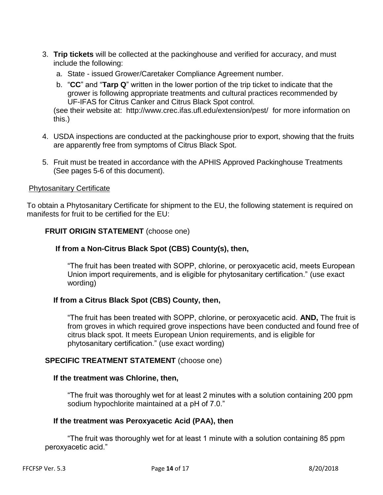- 3. **Trip tickets** will be collected at the packinghouse and verified for accuracy, and must include the following:
	- a. State issued Grower/Caretaker Compliance Agreement number.
	- b. "**CC**" and "**Tarp Q**" written in the lower portion of the trip ticket to indicate that the grower is following appropriate treatments and cultural practices recommended by UF-IFAS for Citrus Canker and Citrus Black Spot control.

(see their website at: <http://www.crec.ifas.ufl.edu/extension/pest/>for more information on this.)

- 4. USDA inspections are conducted at the packinghouse prior to export, showing that the fruits are apparently free from symptoms of Citrus Black Spot.
- 5. Fruit must be treated in accordance with the APHIS Approved Packinghouse Treatments (See pages 5-6 of this document).

#### Phytosanitary Certificate

To obtain a Phytosanitary Certificate for shipment to the EU, the following statement is required on manifests for fruit to be certified for the EU:

#### **FRUIT ORIGIN STATEMENT** (choose one)

#### **If from a Non-Citrus Black Spot (CBS) County(s), then,**

"The fruit has been treated with SOPP, chlorine, or peroxyacetic acid, meets European Union import requirements, and is eligible for phytosanitary certification." (use exact wording)

### **If from a Citrus Black Spot (CBS) County, then,**

"The fruit has been treated with SOPP, chlorine, or peroxyacetic acid. **AND,** The fruit is from groves in which required grove inspections have been conducted and found free of citrus black spot. It meets European Union requirements, and is eligible for phytosanitary certification." (use exact wording)

### **SPECIFIC TREATMENT STATEMENT** (choose one)

#### **If the treatment was Chlorine, then,**

"The fruit was thoroughly wet for at least 2 minutes with a solution containing 200 ppm sodium hypochlorite maintained at a pH of 7.0."

#### **If the treatment was Peroxyacetic Acid (PAA), then**

"The fruit was thoroughly wet for at least 1 minute with a solution containing 85 ppm peroxyacetic acid."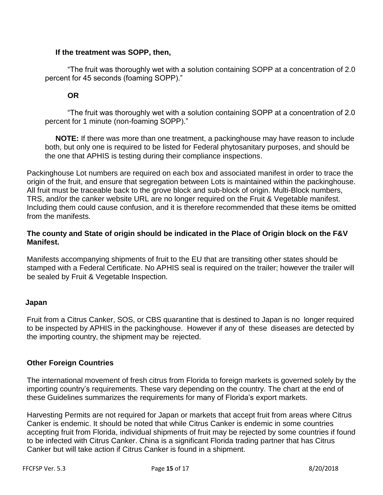#### **If the treatment was SOPP, then,**

"The fruit was thoroughly wet with a solution containing SOPP at a concentration of 2.0 percent for 45 seconds (foaming SOPP)."

### **OR**

"The fruit was thoroughly wet with a solution containing SOPP at a concentration of 2.0 percent for 1 minute (non-foaming SOPP)."

 **NOTE:** If there was more than one treatment, a packinghouse may have reason to include both, but only one is required to be listed for Federal phytosanitary purposes, and should be the one that APHIS is testing during their compliance inspections.

Packinghouse Lot numbers are required on each box and associated manifest in order to trace the origin of the fruit, and ensure that segregation between Lots is maintained within the packinghouse. All fruit must be traceable back to the grove block and sub-block of origin. Multi-Block numbers, TRS, and/or the canker website URL are no longer required on the Fruit & Vegetable manifest. Including them could cause confusion, and it is therefore recommended that these items be omitted from the manifests.

### **The county and State of origin should be indicated in the Place of Origin block on the F&V Manifest.**

Manifests accompanying shipments of fruit to the EU that are transiting other states should be stamped with a Federal Certificate. No APHIS seal is required on the trailer; however the trailer will be sealed by Fruit & Vegetable Inspection.

### **Japan**

Fruit from a Citrus Canker, SOS, or CBS quarantine that is destined to Japan is no longer required to be inspected by APHIS in the packinghouse. However if any of these diseases are detected by the importing country, the shipment may be rejected.

## **Other Foreign Countries**

The international movement of fresh citrus from Florida to foreign markets is governed solely by the importing country's requirements. These vary depending on the country. The chart at the end of these Guidelines summarizes the requirements for many of Florida's export markets.

Harvesting Permits are not required for Japan or markets that accept fruit from areas where Citrus Canker is endemic. It should be noted that while Citrus Canker is endemic in some countries accepting fruit from Florida, individual shipments of fruit may be rejected by some countries if found to be infected with Citrus Canker. China is a significant Florida trading partner that has Citrus Canker but will take action if Citrus Canker is found in a shipment.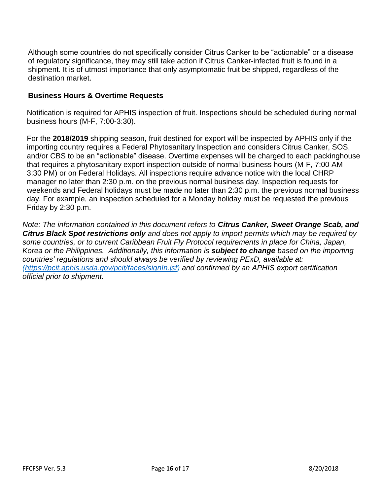Although some countries do not specifically consider Citrus Canker to be "actionable" or a disease of regulatory significance, they may still take action if Citrus Canker-infected fruit is found in a shipment. It is of utmost importance that only asymptomatic fruit be shipped, regardless of the destination market.

## **Business Hours & Overtime Requests**

Notification is required for APHIS inspection of fruit. Inspections should be scheduled during normal business hours (M-F, 7:00-3:30).

For the **2018/2019** shipping season, fruit destined for export will be inspected by APHIS only if the importing country requires a Federal Phytosanitary Inspection and considers Citrus Canker, SOS, and/or CBS to be an "actionable" disease. Overtime expenses will be charged to each packinghouse that requires a phytosanitary export inspection outside of normal business hours (M-F, 7:00 AM - 3:30 PM) or on Federal Holidays. All inspections require advance notice with the local CHRP manager no later than 2:30 p.m. on the previous normal business day. Inspection requests for weekends and Federal holidays must be made no later than 2:30 p.m. the previous normal business day. For example, an inspection scheduled for a Monday holiday must be requested the previous Friday by 2:30 p.m.

*Note: The information contained in this document refers to Citrus Canker, Sweet Orange Scab, and Citrus Black Spot restrictions only and does not apply to import permits which may be required by some countries, or to current Caribbean Fruit Fly Protocol requirements in place for China, Japan, Korea or the Philippines. Additionally, this information is subject to change based on the importing countries' regulations and should always be verified by reviewing PExD, available at: [\(https://pcit.aphis.usda.gov/pcit/faces/signIn.jsf\)](https://pcit.aphis.usda.gov/pcit/faces/signIn.jsf) and confirmed by an APHIS export certification official prior to shipment.*